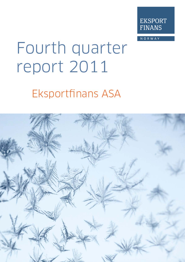

NORWAY

# Fourth quarter report 2011

# **Eksportfinans ASA**

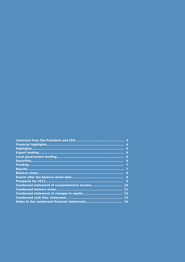| -5           |
|--------------|
| 6            |
|              |
| 6            |
|              |
|              |
| 8            |
|              |
| $\mathbf{Q}$ |
| 10           |
| 11           |
|              |
| 13           |
|              |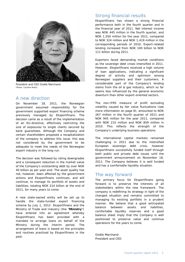

President and CEO Gisèle Marchand (Photo: Caroline Roka)

### A new direction

On November 18, 2011, the Norwegian government assumed responsibility for the government supported export financing scheme previously managed by Eksportfinans. The decision came as a result of the implementation of an EU-directive, effectively restricting the size of exposures to single clients secured by bank guarantees. Although the Company and certain shareholders proposed a recapitalization of the company to address this issue, this was not considered by the government to be adequate to meet the needs of the Norwegian export industry in the long run.

The decision was followed by rating downgrades and a consequent reduction in the market value of the Company's outstanding debt by over NOK 40 billion as per year-end. The asset quality has not, however, been affected by the government actions and Eksportfinans continues, and will continue, to manage its portfolio of assets and liabilities, totaling NOK 214 billion at the end of 2011, for many years to come.

A new state-owned entity will be set up to handle the state-funded export financing scheme by July 1, 2012. Eksportfinans and the Ministry of Trade and Industry (the "**Ministry**") have entered into an agreement whereby Eksportfinans has been provided with a mandate to arrange loans on behalf of the Ministry during the interim period. The arrangement of loans is based on the principles and routines practiced by Eksportfinans in the past.

# Strong financial results

Eksportfinans has shown a strong financial performance both in the fourth quarter and in the financial year of 2011. Net interest income was NOK 445 million in the fourth quarter, and NOK 1,550 million for the year 2011, compared to NOK 324 million and NOK 1,419 million in the corresponding periods of 2010. Export-related lending increased from NOK 100 billion to NOK 111 billion during 2011.

Exporters faced demanding market conditions as the sovereign debt crises intensified in 2011. However, Eksportfinans received a high volume of loan applications, indicating a significant degree of activity and optimism among Norwegian suppliers and their customers. A considerable part of the Company's lending stems from the oil & gas industry, which so far seems less influenced by the general economic downturn than other export-oriented sectors.

The non-IFRS measure of profit excluding volatility caused by fair value fluctuations (see more information on page 8), amounted to NOK 267 million in the fourth quarter of 2011 and NOK 945 million for the year 2011, compared with NOK 210 million and NOK 859 million in 2010. This reflects the strength of the Company's underlying business operations.

The international capital markets remained challenging in 2011 due to the intensified European sovereign debt crisis, however Eksportfinans successfully funded itself through both public and private debt issues until the government announcement on November 18, 2011. The Company believes it is well funded and has a comfortable liquidity situation.

# The way forward

The primary focus for Eksportfinans going forward is to preserve the interests of all stakeholders within the new framework. The company is redefining its strategy in light of the changed situation and remains committed to managing its existing portfolio in a prudent manner. We believe that a good anticipated balance between assets and liabilities, comfortable liquidity reserves and a good balance sheet imply that the Company is well positioned to preserve value and continue operations for the years to come.

Gisèle Marchand President and CEO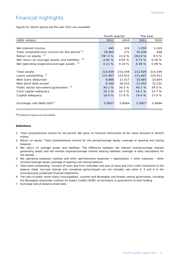# Financial highlights

Figures for interim period and the year 2011 are unaudited.

|                                                                | Fourth quarter |         | The year |         |
|----------------------------------------------------------------|----------------|---------|----------|---------|
| (NOK million)                                                  | 2011           | 2010    | 2011     | 2010    |
|                                                                |                |         |          |         |
| Net interest income                                            | 445            | 324     | 1,550    | 1,419   |
| Total comprehensive income for the period $1^{\prime\prime}$ ) | 29,665         | 271     | 30,039   | 448     |
| Return on equity $2^{x}$                                       | 597.4 %        | 21.6 %  | 150.8%   | 8.5%    |
| Net return on average assets and liabilities 3*)               | 0.82%          | 0.55%   | 0.71%    | 0.59%   |
| Net operating expenses/average assets                          | 0.11%          | 0.10%   | 0.09%    | 0.09%   |
|                                                                |                |         |          |         |
| <b>Total assets</b>                                            | 213,929        | 215,549 | 213,929  | 215,549 |
| 5)<br>Loans outstanding                                        | 121,807        | 123,412 | 121,807  | 123,412 |
| New loans disbursed                                            | 8,866          | 12,417  | 33,685   | 33,654  |
| New bond debt issued                                           | 6,160          | 16,012  | 51,552   | 72,231  |
| Public sector borrowers/guarantors <sup>6)</sup>               | 40.1 %         | 34.5 %  | 40.1 %   | 34.5 %  |
| Core capital adequacy                                          | 16.1%          | 12.7%   | 16.1%    | 12.7%   |
| Capital adequacy                                               | 19.4%          | 17.6 %  | 19.4%    | 17.6 %  |
| Exchange rate NOK/USD <sup>7)</sup>                            | 5.9927         | 5.8564  | 5.9927   | 5.8564  |

**\*)** Quarterly figures are annualized.

### **Definitions**

- 1.Total comprehensive income for the period: Net gains on financial instruments at fair value amounts to 40,815 million.
- 2. Return on equity: Total comprehensive income for the period/average equity (average of opening and closing balance).
- 3. Net return on average assets and liabilities: The difference between net interest income/average interest generating assets and net interest expense/average interest bearing liabilities (average of daily calculations for the period).
- 4. Net operating expenses (salaries and other administrative expenses + depreciation + other expenses other income)/average assets (average of opening and closing balance).
- 5. Total loans outstanding: Consists of loans due from customers and part of loans due from credit institutions in the balance sheet. Accrued interest and unrealized gains/(losses) are not included, see notes 4, 5 and 6 to the accompanying condensed financial statements.
- 6. The ratio of public sector loans (municipalities, counties and Norwegian and foreign central government, including the Norwegian Guarantee Institute for Export Credits (GIEK) as borrowers or guarantors) to total lending.
- 7. Exchange rate at balance sheet date.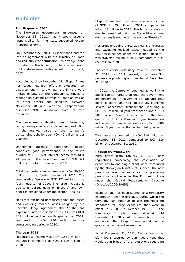# **Highlights**

### **Fourth quarter 2011**

The Norwegian government announced on November 18, 2011, that it would assume responsibility for the state-supported export financing scheme.

On December 22, 2011, Eksportfinans entered into an agreement with the Ministry of Trade and Industry (the "**Ministry**"), to arrange loans on behalf of the Ministry in the interim period until a state-owned entity is set up by July 1, 2012.

Accordingly, since November 18, Eksportfinans has issued new loan offers or executed new disbursement in its own name only to a very limited extent, but the Company continues to manage its existing portfolio of loans as well as its other assets and liabilities. Between November 18 and year-end, Eksportfinans disbursed NOK 14 million from its own accounts.

The government's decision was followed by rating downgrades and a consequent reduction in the market value of the Company's outstanding debt by over NOK 40 billion as per year-end.

Underlying business operations showed continued good performance in the fourth quarter of 2011. Net interest income was NOK 445 million in the period, compared to NOK 324 million in the fourth quarter of 2010.

Total comprehensive income was NOK 29,665 million in the fourth quarter of 2011. The comparative figure was NOK 271 million in the fourth quarter of 2010. The large increase is due to unrealized gains on Eksportfinans' own debt (as explained under the section "Results").

Net profit excluding unrealized gains and losses and excluding realized losses hedged by the Portfolio Hedge Agreement (the "**PHA**") (as explained under the section "Results") was NOK 267 million in the fourth quarter of 2011, compared to NOK 210 million in the corresponding period in 2010.

### **The year 2011**

Net interest income was NOK 1,550 million in the 2011, compared to NOK 1,419 million in 2010.

Eksportfinans had total comprehensive income of NOK 30,039 million in 2011, compared to NOK 448 million in 2010. The large increase is due to unrealized gains on Eksportfinans' own debt (as explained under the section "Results").

Net profit excluding unrealized gains and losses and excluding realized losses hedged by the PHA (as explained under the section "Results") was NOK 945 million in 2011, compared to NOK 859 million in 2010.

The core capital adequacy ratio at December 31, 2011 was 16.1 percent, which was 3.4 percentage points higher than that at December 31, 2010.

In 2011, the Company remained active in the public capital markets up until the government announcement on November 18. Up until that point, Eksportfinans had successfully launched several benchmark transactions, including a CHF 150 million 10-year transaction and a USD 500 million 2-year transaction in the first quarter, a USD 1,250 million 5-year transaction in the second quarter as well as a JPY 30,000 million 5-year transaction in the third quarter.

Total assets amounted to NOK 214 billion at December 31, 2011, compared to NOK 216 billion at December 31, 2010.

### **Regulatory framework**

With effect from January 1, 2011, new regulations concerning the calculation of exposures to one single client were introduced by the Norwegian Ministry of Finance. The new provisions are the same as the prevailing provisions applicable in the European Union under the Capital Requirements Directive (Directive 2006/48/EU).

Eksportfinans has been subject to a temporary exemption from the directive, during which the Company can continue to use the reporting standards for large exposures that were in effect in 2010. On October 19, 2011, the temporary exemption was extended until December 31, 2012. At the same time it was announced that Eksportfinans would not be granted a permanent exemption.

As at December 31, 2011, Eksportfinans has eight loans secured by bank guarantees that would be in breach of the regulations regarding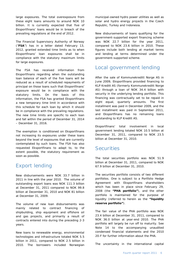large exposures. The total overexposure from these eight loans amounts to around NOK 10 billion. It is currently expected that five of Eksportfinans' loans would be in breach of the prevailing regulations at the end of 2012.

The Financial Supervisory Authority of Norway ("**FSA**") has in a letter dated February 13, 2012, granted extended time limits as to when Eksportfinans' loan exposures shall be in compliance with the statutory maximum limits for large exposures.

The FSA has received information from Eksportfinans regarding when the outstanding loan balance of each of the five loans will be reduced as a result of scheduled repayments of principal on those loans such that Eksportfinans' exposure would be in compliance with the statutory limits. On the basis of this information, the FSA has granted Eksportfinans a new temporary time limit in accordance with this schedule for each loan by which it should be in compliance with the prevailing regulations. The new time limits are specific to each loan and fall within the period of December 31, 2014 – December 31, 2016.

The exemption is conditioned on Eksportfinans not increasing its exposures under these loans beyond the level of exposures that are currently contemplated by such loans. The FSA has also requested Eksportfinans to adapt to, to the extent possible, the statutory requirement as soon as possible.

# Export lending

New disbursements were NOK 33.7 billion in 2011 in line with the year 2010. The volume of outstanding export loans was NOK 111.3 billion at December 31, 2011 compared to NOK 99.8 billion at December 31, 2010 and NOK 81 billion at December 31, 2009.

The volume of new loan disbursements was mainly related to contract financing of shipbuilding, ship equipment and offshore oil and gas projects, and primarily a result of contracts entered into during the preceding 2-3 years.

New loans to renewable energy, environmental technologies and infrastructure totaled NOK 5.5 billion in 2011, compared to NOK 2.5 billion in 2010. The borrowers included Norwegian

municipal-owned hydro power utilities as well as solar and hydro energy projects in the Czech Republic, Turkey and Indonesia.

New disbursements of loans qualifying for the government-supported export financing scheme was NOK 22.7 billion for the year 2011, compared to NOK 23.6 billion in 2010. These figures include both lending at market terms and lending at terms determined under the government-supported scheme.

# Local government lending

After the sale of Kommunekreditt Norge AS in June 2009, Eksportfinans provided financing to KLP Kreditt AS (formerly Kommunekreditt Norge AS) through a loan of NOK 34.4 billion with security in the underlying lending portfolio. This financing was contractually set to be repaid in eight equal, quarterly amounts. The first installment was paid in December 2009, and the last installment was paid in September 2011, and Eksportfinans has no remaining loans outstanding to KLP Kreditt AS.

Eksportfinans' total involvement in local government lending totaled NOK 10.5 billion at December 31, 2011, compared to NOK 23.5 billion at December 31, 2010.

# **Securities**

The total securities portfolio was NOK 51.9 billion at December 31, 2011, compared to NOK 67.9 billion at December 31, 2010.

The securities portfolio consists of two different portfolios. One is subject to a Portfolio Hedge Agreement with Eksportfinans shareholders which has been in place since February 29, 2008 (the **"PHA portfolio"**), and the other portfolio is maintained for the purpose of liquidity (referred to herein as the **"liquidity reserve portfolio"**).

The fair value of the PHA portfolio was NOK 23.4 billion at December 31, 2011, compared to NOK 36.0 billion at year-end 2010. The PHA portfolio will largely be run off to maturity. See Note 14 to the accompanying unaudited condensed financial statements and the 2010 20-F for further information about the PHA.

The uncertainty in the international capital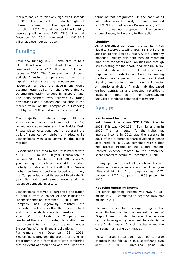markets has led to relatively high credit spreads in 2011. This has led to relatively high net interest income from the liquidity reserve portfolio in 2011. The fair value of the liquidity reserve portfolio was NOK 28.5 billion at December 31, 2011, compared to NOK 31.9 billion at December 31, 2010.

# Funding

Total new funding in 2011 amounted to NOK 51.6 billion through 380 individual bond issues compared to NOK 72.2 billion and 721 bond issues in 2010. The Company has not been actively financing its operations through the capital markets since the announcement on November 18 that the government would assume responsibility for the export finance scheme previously managed by Eksportfinans. The announcement was followed by rating downgrades and a consequent reduction in the market value of the Company's outstanding debt by over NOK 40 billion as per year-end.

The majority of demand up until the announcement came from investors in the USA, Japan, non-Japan Asia and the Middle East. Private placements continued to represent the bulk of issuance by number of trades, while Eksportfinans was also active in the public markets.

Eksportfinans returned to the Swiss market with a CHF 150 million 10-year transaction in January 2011. In March a USD 500 million 2 year floating rate note was issued to investors globally; in May a USD 1,250 million 5-year global benchmark bond was issued and in July the Company launched its second fixed rate 5 year Samurai bond aimed once again at Japanese domestic investors.

Eksportfinans received a purported declaration of default from a holder of the institution's Japanese bonds on December 19, 2011. The Company has vigorously resisted the declaration on the basis that there is no default and that the declaration is therefore of no effect. On this basis the Company has concluded that such purported declaration does not constitute a cross default under Eksportfinans' other financial obligations.

Furthermore, on December 22, 2011, Eksportfinans provided the trustee of its EMTN programme with a formal certificate confirming that no event of default had occurred under the

terms of that programme. On the basis of all information available to it, the trustee notified all EMTN bond holders on December 23, 2011, that it does not propose, in the current circumstances, to take any further action.

### **Liquidity**

As at December 31, 2011, the Company has liquidity reserves totaling NOK 65.3 billion. In addition to this liquidity reserve, the Company manages liquidity risk both through matching maturities for assets and liabilities and through stress-testing for the short- and medium term. Forecasts show that the liquidity reserve, together with cash inflows from the lending portfolio, are expected to cover anticipated liquidity needs going forward by a good margin. A maturity analysis of financial liabilities based on both contractual and expected maturities is included in note 16 of the accompanying unaudited condensed financial statements.

# Results

### **Net interest income**

Net interest income was NOK 1,550 million in 2011. This was NOK 131 million higher than in 2010. The main reason for the higher net interest income in 2011 was the absence in 2011 of the preference share dividend expense accounted for in 2010, combined with higher net interest income on the Export lending. Interest expense related to the preference share ceased to accrue at December 31, 2010.

In large part as a result of the above, the net return on average assets and liabilities (see "Financial highlights" on page 4) was 0.71 percent in 2011, compared to 0.59 percent in 2010.

### **Net other operating income**

Net other operating income was NOK 40,384 million in 2011 compared to negative NOK 602 million in 2010.

The main reason for this large change is the large fluctuations in the market prices of Eksportfinans' own debt following the decision by the Norwegian government to establish a state-funded export financing scheme and the consequential rating downgrades.

These market fluctuations have led to large changes in the fair value on Eksportfinans' own debt. In 2011, unrealized gains on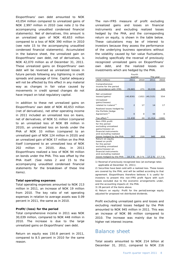Eksportfinans' own debt amounted to NOK 43,054 million compared to unrealized gains of NOK 2,997 million in 2010 (see note 2 to the accompanying unaudited condensed financial statements). Net of derivatives, this amount is an unrealized gain of NOK 40,653 million compared to a loss of NOK 390 million in 2010 (see note 15 to the accompanying unaudited condensed financial statements). Accumulated in the balance sheet, the unrealized gain on Eksportfinans' own debt, net of derivatives, is NOK 42,070 million as of December 31, 2011. These unrealized gains on Eksportfinans' own debt will be reversed as unrealized losses in future periods following any tightening in credit spreads and passage of time. Capital adequacy will not be affected by this effect in any material way as changes in fair value caused by movements in credit spread changes do not have impact on total regulatory capital.

In addition to these net unrealized gains on Eksportfinans' own debt of NOK 40,653 million (net of derivatives), net other operating income in 2011 included an unrealized loss on loans, net of derivatives, of NOK 51 million (compared to an unrealized loss of NOK 89 million in 2010), an unrealized loss on bonds under the PHA of NOK 33 million (compared to an unrealized gain of NOK 124 million in 2010) and an unrealized gain of NOK 57 million on the PHA itself (compared to an unrealized loss of NOK 202 million in 2010). Also, in 2011 Eksportfinans realized a loss of NOK 94 million on bonds under the PHA. This was offset by the PHA itself. (See notes 2 and 15 to the accompanying unaudited condensed financial statements for the breakdown of these line items).

### **Total operating expenses**

Total operating expenses amounted to NOK 213 million in 2011, an increase of NOK 19 million from 2010. The key ratio of net operating expenses in relation to average assets was 0.09 percent in 2011, the same as in 2010.

### **Profit/(loss) for the period**

Total comprehensive income in 2011 was NOK 30,039 million, compared to NOK 448 million in 2010. The increase is due to the large unrealized gains on Eksportfinans' own debt.

Return on equity was 150.8 percent in 2011, compared to 8.5 percent in 2010 for the same reason.

The non-IFRS measure of profit excluding unrealized gains and losses on financial instruments and excluding realized losses hedged by the PHA, and the corresponding return on equity, is shown in the table below. These calculations may be of interest to investors because they assess the performance of the underlying business operations without the volatility caused by fair value fluctuations, including specifically the reversal of previously recognized unrealized gains on Eksportfinans' own debt, and the realized losses on investments which are hedged by the PHA.

| Fourth                           |               |          |                    |       |  |  |
|----------------------------------|---------------|----------|--------------------|-------|--|--|
|                                  | quarter       |          | The year           |       |  |  |
| (NOK million)                    | 2011          | 2010     | 2011               | 2010  |  |  |
| Comprehensive                    |               |          |                    |       |  |  |
| income for the period            |               |          |                    |       |  |  |
| in accordance with IFRS          | 29,665        | 271      | 30,039             | 448   |  |  |
| Net unrealized                   |               |          |                    |       |  |  |
| losses/(gains)                   | (40, 830)     |          | $(102)$ $(40,515)$ | 554   |  |  |
| Unrealized                       |               |          |                    |       |  |  |
| gains/(losses)                   |               |          |                    |       |  |  |
| related to Iceland <sup>1)</sup> | $\mathcal{P}$ | 17       | 14                 | 17    |  |  |
| Realized losses hedged by        |               |          |                    |       |  |  |
| the Porfolio Hedge               |               |          |                    |       |  |  |
| Agreement <sup>2)</sup>          | $\circ$       | $\Omega$ | 94                 | O     |  |  |
| Tax effect $3)$                  | 11,430        | 24       | 11,314             | (160) |  |  |
| Non-IFRS profit                  |               |          |                    |       |  |  |
| for the period                   |               |          |                    |       |  |  |
| excluding unrealized             |               |          |                    |       |  |  |
| gains/(losses) on                |               |          |                    |       |  |  |
| financial instruments            |               |          |                    |       |  |  |
| and excluding realized           |               |          |                    |       |  |  |
| losses hedged by the PHA         | 267           | 210      | 945                | 859   |  |  |
| Return on equity                 |               |          |                    |       |  |  |
| based on profit                  |               |          |                    |       |  |  |
| for the period                   |               |          |                    |       |  |  |
| excluding unrealized             |               |          |                    |       |  |  |
| gains/(losses) on                |               |          |                    |       |  |  |
| financial instruments            |               |          |                    |       |  |  |
| and excluding realized           |               |          |                    |       |  |  |
| losses hedged by the PHA         | 18.3 %        | 16.3 %   | 17.2%              | 17.7% |  |  |

1) Reversal of previously recognized loss (at exchange rates applicable at December 31, 2011).

2) Securities have been sold with a realized loss. These losses are covered by the PHA, and will be settled according to that agreement. Eksportfinans therefore believes it is useful for investors to present this non-IFRS profit figure with such losses excluded due to the economic arrangements under, and the accounting impacts of, the PHA.

3) 28 percent of the items above.

4) Return on equity: Profit for the period/average equity adjusted for proposed not distributed dividends.

Profit excluding unrealized gains and losses and excluding realized losses hedged by the PHA amounted to NOK 945 million in 2011. This was an increase of NOK 86 million compared to 2010. The increase was mainly due to the higher net interest income.

# Balance sheet

Total assets amounted to NOK 214 billion at December 31, 2011, compared to NOK 216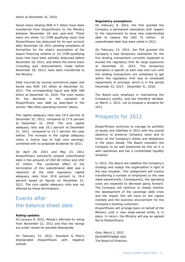billion at December 31, 2010.

Seven loans totaling NOK 6.7 billion have been transferred from Eksportfinans to the Ministry between November 18 and year-end. These loans are either (1) CIRR-qualifying loans that Eksportfinans has disbursed for its own account after November 18, 2011 pending completion of formalities for the state's assumption of the export financing scheme or (2) CIRR-qualifying loans that have been partially disbursed before November 18, 2011, and where the entire loans (including part disbursements made before November 18, 2011) have been transferred to the Ministry.

Debt incurred by issuing commercial paper and bonds was NOK 141 billion at December 31, 2011. The corresponding figure was NOK 186 billion at December 31, 2010. The main reason for the decrease is the valuation of Eksportfinans own debt as described in the section "Net other operating income" above.

The capital adequacy ratio was 19.4 percent at December 31, 2011, compared to 17.6 percent at December 31, 2010. The core capital adequacy ratio was 16.1 percent at December 31, 2011, compared to 12.7 percent the year before. The increase in the capital adequacy ratios is mainly due to high core earnings, combined with no proposed dividends for 2011.

On April 28, 2011 and May 23, 2011 Eksportfinans voluntarily prepaid subordinated debt in the amounts of USD 60 million and USD 15 million. The combined effect of the termination of this subordinated debt was a reduction of the total regulatory capital adequacy ratio from 20.8 percent to 19.4 percent based on figures on December 31, 2011. The core capital adequacy ratio was not affected by these terminations.

# Events after the balance sheet date

### **Rating updates**

On January 9, 2012, Moody's affirmed its rating from November 22, 2011 and that the ratings are under review for possible downgrade.

On February 15, 2012, Standard & Poor's downgraded Eksportfinans with negative outlook.

### **Regulatory exemptions**

On February 9, 2012, the FSA granted the Company a permanent exemption with respect to the requirement to issue new subordinated debt to replace the USD 75 million subordinated debt that were called in 2011.

On February 13, 2012, the FSA granted the Company a new temporary exemption for the five lending transactions currently expected to exceed the regulatory limit for large exposures at December 31, 2012. The temporary exemption is specific to each loan and runs until the lending transactions are scheduled to get within the regulatory limit due to scheduled repayments of principal, which is in the period December 31, 2014 – December 31, 2016.

The Board puts emphasis in maintaining the Company's solidity, and has therefore decided, on March 1, 2012, not to propose a dividend for 2011.

# Prospects for 2012

Eksportfinans continues to manage its portfolio of assets and liabilities in 2012 with the overall objective to preserve Company value and to honor all the Company's duties and obligations in the years ahead. The Board considers the Company to be well positioned for this as it is well capitalized and has a comfortable liquidity situation.

In 2012, the Board will redefine the Company's strategy and realign the organization in light of the new situation. This realignment will involve transferring a number of employees to the new state-owned entity. Consequently, the operating costs are expected to decrease going forward. The Company will continue to closely monitor the development of the sovereign debt crisis and the impact this will have on the capital markets and the business environment for the Company's existing customers.

Eksportfinans will arrange loans on behalf of the Ministry until a new state-owned entity is in place. In return, the Ministry will pay an agreed fee to Eksportfinans.

Oslo, March 1, 2012 EKSPORTFINANS ASA The Board of Directors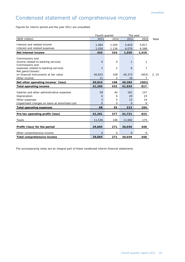# Condensed statement of comprehensive income

Figures for interim period and the year 2011 are unaudited.

|                                                         | Fourth quarter<br>The year |             |                |                |             |
|---------------------------------------------------------|----------------------------|-------------|----------------|----------------|-------------|
| (NOK million)                                           | 2011                       | 2010        | 2011           | 2010           | <b>Note</b> |
| Interest and related income                             | 1,484                      | 1,450       | 5,629          | 5,817          |             |
| Interest and related expenses                           | 1,039                      | 1,126       | 4,079          | 4,398          |             |
| Net interest income                                     | 445                        | 324         | 1,550          | 1,419          |             |
| Commissions and                                         |                            |             |                |                |             |
| income related to banking services                      | $\Omega$                   | $\mathbf 0$ | 1              | 1              |             |
| Commissions and<br>expenses related to banking services | 2                          | 2           | 6              | 7              |             |
| Net gains/(losses)                                      |                            |             |                |                |             |
| on financial instruments at fair value                  | 40,815                     | 108         | 40,373         | (603)          | 2, 15       |
| Other income                                            | 11                         | 2           | 16             | $\overline{7}$ |             |
| Net other operating income/ (loss)                      | 40,824                     | 108         | 40,384         | (602)          |             |
| <b>Total operating income</b>                           | 41,269                     | 432         | 41,934         | 817            |             |
| Salaries and other administrative expenses              | 59                         | 44          | 181            | 157            |             |
| Depreciation                                            | 6                          | 6           | 20             | 23             |             |
| Other expenses                                          | 3                          | 5           | 12             | 14             |             |
| Impairment charges on loans at amortized cost           | $\Omega$                   | 0           | $\overline{O}$ | 0              |             |
| <b>Total operating expenses</b>                         | 68                         | 55          | 213            | 194            |             |
|                                                         |                            |             |                |                |             |
| Pre-tax operating profit/(loss)                         | 41,201                     | 377         | 41,721         | 623            |             |
| Taxes                                                   | 11,536                     | 106         | 11,682         | 175            |             |
| Profit/(loss) for the period                            | 29,665                     | 271         | 30,039         | 448            |             |
| Other comprehensive income                              | O                          | 0           | $\Omega$       | 0              |             |
| Total comprehensive income                              | 29,665                     | 271         | 30,039         | 448            |             |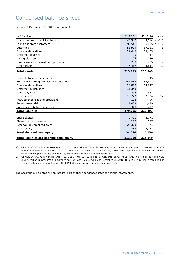# Condensed balance sheet

Figures at December 31, 2011, are unaudited.

| (NOK million)                              | 31.12.11     | 31.12.10       | <b>Note</b> |
|--------------------------------------------|--------------|----------------|-------------|
| 1)<br>Loans due from credit institutions   | 40,340       | 43,014 4, 6, 7 |             |
| Loans due from customers <sup>2)</sup>     | 96,541       | 85,095 5, 6, 7 |             |
| <b>Securities</b>                          | 51,909       | 67,921         | 8           |
| <b>Financial derivatives</b>               | 19,446       | 15,403         |             |
| Deferred tax asset                         | $\mathbf{O}$ | 44             |             |
| Intangible assets                          | 16           | 20             |             |
| Fixed assets and investment property       | 210          | 205            | 9           |
| Other assets                               | 5,467        | 3,847          | 10          |
| <b>Total assets</b>                        | 213,929      | 215,549        |             |
|                                            |              |                |             |
| Deposits by credit institutions            | 1            | 45             |             |
| Borrowings through the issue of securities | 141,489      | 186,402        | 11          |
| <b>Financial derivatives</b>               | 13,870       | 14,247         |             |
| Deferred tax liabilities                   | 11,343       |                |             |
| Taxes payable                              | 295          | 373            |             |
| Other liabilities                          | 10,722       | 7,174          | 12          |
| Accrued expenses and provisions            | 128          | 96             |             |
| Subordinated debt                          | 1,039        | 1,639          |             |
| Capital contribution securities            | 348          | 417            |             |
| <b>Total liabilities</b>                   | 179,235      | 210,393        |             |
|                                            |              |                |             |
| Share capital                              | 2,771        | 2,771          |             |
| Share premium reserve                      | 177          | 177            |             |
| Reserve for unrealized gains               | 29,363       | 71             |             |
| Other equity                               | 2,383        | 2,137          |             |
| Total shareholders' equity                 | 34,694       | 5,156          |             |
| Total liabilities and shareholders' equity | 213,929      | 215,549        |             |

1) Of NOK 40,340 million at December 31, 2011, NOK 39,951 million is measured at fair value through profit or loss and NOK 389 million is measured at amortized cost. Of NOK 43,014 million at December 31, 2010, NOK 29,811 million is measured at fair value through profit or loss and NOK 13,203 million is measured at amortized cost.

2) Of NOK 96,541 million at December 31, 2011, NOK 61,416 million is measured at fair value through profit or loss and NOK 35,125 million is measured at amortized cost. Of NOK 85,095 million at December 31, 2010, NOK 49,205 million is measured at fair value through profit or loss and NOK 35,890 million is measured at amortized cost.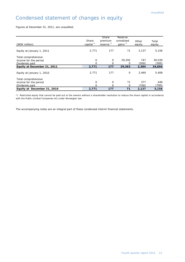# Condensed statement of changes in equity

Figures at December 31, 2011, are unaudited.

| (NOK million)                                                  | Share<br>capital <sup>*</sup> | Share<br>premium<br>reserve <sup>*</sup> | Reserve<br>unrealized<br>gains $\overline{y}$ | Other<br>equity | Total<br>equity |
|----------------------------------------------------------------|-------------------------------|------------------------------------------|-----------------------------------------------|-----------------|-----------------|
| Equity at January 1, 2011                                      | 2.771                         | 177                                      | 71                                            | 2.137           | 5,156           |
| Total comprehensive<br>income for the period<br>Dividends paid | 0<br>O                        | 0<br>O                                   | 29,292<br>0                                   | 747<br>(500)    | 30,039<br>(500) |
| Equity at December 31, 2011                                    | 2,771                         | 177                                      | 29,363                                        | 2,384           | 34,694          |
| Equity at January 1, 2010                                      | 2,771                         | 177                                      | 0                                             | 2,460           | 5,408           |
| Total comprehensive<br>income for the period<br>Dividends paid | 0<br>O                        | $\Omega$                                 | 71<br>O                                       | 377<br>(700)    | 448<br>(700)    |
| Equity at December 31, 2010                                    | 2,771                         | 177                                      | 71                                            | 2,137           | 5,156           |

\*) Restricted equity that cannot be paid out to the owners without a shareholder resolution to reduce the share capital in accordance with the Public Limited Companies Act under Norwegian law.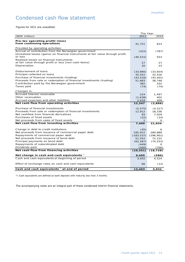# Condensed cash flow statement

Figures for 2011 are unaudited.

|                                                                                            | The Year   |            |
|--------------------------------------------------------------------------------------------|------------|------------|
| (NOK million)                                                                              | 2011       | 2010       |
| Pre-tax operating profit/(loss)                                                            |            |            |
| from continuing operations                                                                 | 41,721     | 623        |
|                                                                                            |            |            |
| Provided by operating activities:                                                          |            |            |
| Accrual of contribution from the Norwegian government                                      | (322)      | (787)      |
| Unrealized losses (gains) on financial instruments at fair value through profit<br>or loss |            |            |
| Realized losses on financial instruments                                                   | (40, 515)  | 553        |
| at fair value through profit or loss [non-cash items]                                      | 27         | 27         |
| Depreciation                                                                               | 20         | 23         |
|                                                                                            |            |            |
| Disbursement of loans                                                                      | (33,685)   | (33, 654)  |
| Principal collected on loans                                                               | 35,422     | 32,416     |
| Purchase of financial investments (trading)                                                | (43, 516)  | (43, 401)  |
| Proceeds from sale or redemption of financial investments (trading)                        | 51,683     | 38,748     |
| Contribution paid by the Norwegian government                                              | 382        | 332        |
| Taxes paid                                                                                 | (74)       | (74)       |
|                                                                                            |            |            |
| Changes in:                                                                                |            |            |
| Accrued interest receivable                                                                | 224        | 1,497      |
| Other receivables                                                                          | (1,638)    | 402        |
| Accrued expenses and other liabilities                                                     | 2,618      | 409        |
| Net cash flow from operating activities                                                    | 12,347     | (2,886)    |
| Purchase of financial investments                                                          | (5, 575)   | (4, 317)   |
| Proceeds from sale or redemption of financial investments                                  | 12,912     | 18,336     |
| Net cashflow from financial derivatives                                                    | 93         | 7,029      |
| Purchases of fixed assets                                                                  | (22)       | (14)       |
| Net proceeds from sales of fixed assets                                                    | 1          | O          |
| Net cash flow from investing activities                                                    | 7,409      | 21,034     |
|                                                                                            |            |            |
| Change in debt to credit institutions                                                      | (45)       | 6          |
| Net proceeds from issuance of commercial paper debt                                        | 185,915    | 280,889    |
| Repayments of commercial paper debt                                                        | (183, 537) | (296, 901) |
| Net proceeds from issuance of bond debt                                                    | 51,552     | 72,231     |
| Principal payments on bond debt                                                            | (63, 287)  | (74, 253)  |
| Repayments of subordinated debt                                                            | (449)      | $\Omega$   |
| Dividends paid                                                                             | (500)      | (700)      |
| Net cash flow from financing activities                                                    | (10, 351)  | (18, 728)  |
| Net change in cash and cash equivalents <sup>*</sup> )                                     | 9,405      | (580)      |
| Cash and cash equivalents at beginning of period                                           | 3,932      | 4,524      |
| Effect of exchange rates on cash and cash equivalents                                      |            |            |
|                                                                                            | 66         | (12)       |
| Cash and cash equivalents <sup>*</sup> at end of period                                    | 13,403     | 3,932      |

\*) Cash equivalents are defined as bank deposits with maturity less than 3 months.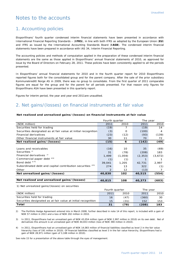# Notes to the accounts

# 1. Accounting policies

Eksportfinans' fourth quarter condensed interim financial statements have been presented in accordance with International Financial Reporting Standards – (**IFRS**), in line with both IFRS as adopted by the European Union (**EU**) and IFRS as issued by the International Accounting Standards Board (**IASB**). The condensed interim financial statements have been prepared in accordance with IAS 34, Interim Financial Reporting.

The accounting policies and methods of computation applied in the preparation of these condensed interim financial statements are the same as those applied in Eksportfinans' annual financial statements of 2010, as approved for issue by the Board of Directors on February 28, 2011. These policies have been consistently applied to all the periods presented.

In Eksportfinans' annual financial statements for 2010 and in the fourth quarter report for 2010 Eksportfinans reported figures both for the consolidated group and for the parent company. After the sale of the prior subsidiary Kommunekreditt Norge AS in 2009, there was no group to consolidate. From the first quarter of 2011 comparable figures are equal for the group and for the parent for all periods presented. For that reason only figures for Eksportfinans ASA have been presented in this quarterly report.

Figures for interim period, the year and year-end 2011are unaudited.

# 2. Net gains/(losses) on financial instruments at fair value

### **Net realized and unrealized gains/(losses) on financial instruments at fair value**

|                                                               | Fourth quarter |         | The year |         |  |
|---------------------------------------------------------------|----------------|---------|----------|---------|--|
| (NOK million)                                                 | 2011           | 2010    | 2011     | 2010    |  |
| Securities held for trading                                   | (19)           |         | (19)     | 14      |  |
| Securities designated as at fair value at initial recognition | (3)            | O       | (100)    | 4       |  |
| <b>Financial derivatives</b>                                  | (23)           | (12)    | (93)     | (139)   |  |
| Other financial instruments at fair value                     | 30             | 11      | 70       | 72      |  |
| Net realized gains/(losses)                                   | (15)           | 6       | (142)    | (49)    |  |
|                                                               |                |         |          |         |  |
| Loans and receivables                                         | (16)           | 10      | 35       | (69)    |  |
| Securities <sup>17</sup>                                      | 31             | (78)    | (208)    | 183     |  |
| Financial derivatives <sup>2)</sup>                           | 1,499          | (1,059) | (2, 353) | (3,672) |  |
| Commercial paper debt 3)4)                                    | (1)            | (1)     |          |         |  |
| Bond debt $^{3}$ 4)                                           | 39,041         | 1,205   | 42,731   | 2,997   |  |
| Subordinated debt and capital contribution securities 3)4)    | 274            | 13      | 322      | (1)     |  |
| Other                                                         | $\overline{2}$ | 12      | (13)     |         |  |
| Net unrealized gains/(losses)                                 | 40,830         | 102     | 40,515   | (554)   |  |
|                                                               |                |         |          |         |  |
| Net realized and unrealized gains/(losses)                    | 40,815         | 108     | 40,373   | (603)   |  |

1) Net unrealized gains/(losses) on securities

|                                                               | Fourth quarter |      | The year |      |
|---------------------------------------------------------------|----------------|------|----------|------|
| (NOK million)                                                 | 2011           | 2010 | 2011     | 2010 |
| Securities held for trading                                   | 16             | (47) | (360)    | 30   |
| Securities designated as at fair value at initial recognition | 15             | (31) | 152      | 153  |
| Total                                                         | 31             | (78) | (208)    | 183  |

2) The Portfolio Hedge Agreement entered into in March 2008, further described in note 14 of this report, is included with a gain of NOK 57 million in 2011 and a loss of NOK 202 million in 2010.

3) In 2011, Eksportfinans had an unrealized gain of NOK 43,054 million (gain of NOK 2,997 million in 2010) on its own debt. Net of derivatives this amount is an unrealized gain of NOK 40,653 million (loss of NOK 390 million in 2010).

4) In 2011, Eksportfinans had an unrealized gain of NOK 14,083 million of financial liabilities classified as level 2 in the fair value hierarchy (loss of 191 million in 2010). Of financial liabilities classified as level 3 in the fair value hierarchy, Eksportfinans had a gain of NOK 28,971 million (gain of 3,188 million in 2010).

See note 15 for a presentation of the above table through the eyes of management.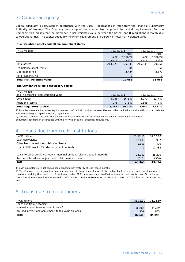# 3. Capital adequacy

Capital adequacy is calculated in accordance with the Basel II regulations in force from the Financial Supervisory Authority of Norway. The Company has adopted the standardized approach to capital requirements. For the Company, this implies that the difference in risk-weighted value between the Basel I and II regulations is mainly due to operational risk. The capital adequacy minimum requirement is 8 percent of total risk-weighted value.

### **Risk-weighted assets and off-balance sheet items**

| (NOK million)             | 31.12.2011  |          | 31.12.2010  |          |
|---------------------------|-------------|----------|-------------|----------|
|                           |             | Risk-    |             | Risk-    |
|                           | <b>Book</b> | weighted | <b>Book</b> | weighted |
|                           | value       | value    | value       | value    |
| Total assets              | 213,929     | 26,933   | 215,549     | 29,050   |
| Off-balance sheet items   |             | 304      |             | 358      |
| Operational risk          |             | 2,424    |             | 2,577    |
| Total currency risk       |             | O        |             |          |
| Total risk-weighted value |             | 29,661   |             | 31,985   |

### **The Company's eligible regulatory capital**

| (NOK million                           |            |       |            |        |
|----------------------------------------|------------|-------|------------|--------|
| and in percent of risk-weighted value) | 31.12.2011 |       | 31.12.2010 |        |
| Core capital <sup>1)</sup>             | 4.786      | 16.1% | 4.077      | 12.7%  |
| Additional capital <sup>2)</sup>       | 975        | 3.3%  | 1.565      | 4.9%   |
| Total regulatory capital               | 5.761      | 19.4% | 5.642      | 17.6 % |

1) Includes share capital, other equity, elements of capital contribution securities and other deductions and additions in accordance with the Norwegian capital adequacy regulations.

2) Includes subordinated debt, the elements of capital contribution securities not included in core capital and other

deductions/additions in accordance with the Norwegian capital adequacy regulations.

# 4. Loans due from credit institutions

| (NOK million)                                                                       | 31.12.11 | 31.12.10 |
|-------------------------------------------------------------------------------------|----------|----------|
| Cash equivalents <sup>1)</sup>                                                      | 13,403   | 3.932    |
| Other bank deposits and claims on banks                                             | 1,300    | 470      |
| Loan to KLP Kreditt AS (also included in note 6)                                    | 0        | 12,882   |
|                                                                                     |          |          |
| Loans to other credit institutions, nominal amount (also included in note 6) $^{2}$ | 26,252   | 26,290   |
| Accrued interest and adjustment to fair value on loans                              | (615)    | (560)    |
| <b>Total</b>                                                                        | 40,340   | 43,014   |

1) Cash equivalents are defined as bank deposits with maturity of less than 3 months.

2) The Company has acquired certain loan agreements from banks for which the selling bank provides a repayment guarantee, therefore retaining the credit risk of the loans. Under IFRS these loans are classified as loans to credit institutions. Of the loans to credit institutions these loans amounted to NOK 13,977 million at December 31, 2011 and NOK 13,073 million at December 31, 2010.

# 5. Loans due from customers

| (NOK million)                                          | 31.12.11 | 31.12.10 |
|--------------------------------------------------------|----------|----------|
| Loans due from customers,                              |          |          |
| nominal amount (also included in note 6)               | 95,555   | 84,240   |
| Accrued interest and adjustment to fair value on loans | 986      | 855      |
| <b>Total</b>                                           | 96,541   | 85,095   |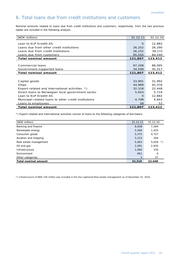# 6. Total loans due from credit institutions and customers

Nominal amounts related to loans due from credit institutions and customers, respectively, from the two previous tables are included in the following analysis.

| (NOK million)                                        | 31.12.11 | 31.12.10 |
|------------------------------------------------------|----------|----------|
|                                                      |          |          |
| Loan to KLP Kreditt AS                               | $\Omega$ | 12,882   |
| Loans due from other credit institutions             | 26,252   | 26,290   |
| Loans due from credit institutions                   | 26,252   | 39,172   |
| Loans due from customers                             | 95,555   | 84,240   |
| <b>Total nominal amount</b>                          | 121,807  | 123,412  |
|                                                      |          |          |
| Commercial loans                                     | 87,208   | 88,095   |
| Government-supported loans                           | 34,599   | 35,317   |
| <b>Total nominal amount</b>                          | 121,807  | 123,412  |
|                                                      |          |          |
| Capital goods                                        | 33,991   | 31,992   |
| <b>Ships</b>                                         | 44,989   | 45,376   |
| Export-related and international activities *)       | 32,318   | 22,448   |
| Direct loans to Norwegian local government sector    | 5,653    | 5,719    |
| Loan to KLP Kreditt AS                               | O        | 12,882   |
| Municipal-related loans to other credit institutions | 4,798    | 4,943    |
| Loans to employees                                   | 58       | 52       |
| Total nominal amount                                 | 121,807  | 123,412  |

\*) Export-related and international activities consist of loans to the following categories of borrowers:

| (NOK million)               | 31.12.11 | 31.12.10           |
|-----------------------------|----------|--------------------|
| Banking and finance         | 6,938    | 7,264              |
| Renewable energy            | 5,494    | 1,425              |
| Consumer goods              | 5,375    | 4,757              |
| Aviation and shipping       | 5,233    | 264                |
| Real estate management      | 5,063    | 5,626<br>$\star$ ) |
| Oil and gas                 | 2,491    | 2,935              |
| Infrastructure              | 1,060    | 150                |
| Environment                 | 661      | $\Omega$           |
| Other categories            | 3        | 27                 |
| <b>Total nominal amount</b> | 32,318   | 22,448             |

\*) Infrastructure of NOK 150 million was included in the line captioned Real estate management as of December 31, 2010.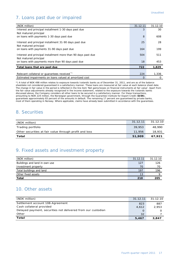# 7. Loans past due or impaired

| (NOK million)                                                                          | 31.12.11 | 31.12.10 |
|----------------------------------------------------------------------------------------|----------|----------|
| Interest and principal installment 1-30 days past due                                  | 3        | 30       |
| Not matured principal                                                                  |          |          |
| on loans with payments 1-30 days past due                                              | 8        | 608      |
| Interest and principal installment 31-90 days past due<br>Not matured principal        | 25       | 28       |
| on loans with payments 31-90 days past due                                             | 164      | 199      |
| Interest and principal installment more than 90 days past due<br>Not matured principal | 504      | 511      |
| on loans with payments more than 90 days past due                                      | 18       | 453      |
| Total loans that are past due                                                          | 722      | 1,829    |
|                                                                                        |          |          |
| Relevant collateral or guarantees received"                                            | 224      | 1,336    |
| Estimated impairments on loans valued at amortized cost                                | 0        | 0        |

\*) A total of NOK 498 million relates to exposure towards Icelandic banks as of December 31, 2011, and are as of the balance sheetdate not considered guaranteed in a satisfactory manner. These loans are measured at fair value at each balance sheet date. The change in fair value in the period is reflected in the line item 'Net gains/losses on financial instruments at fair value'. Apart from the fair value adjustments already recognized in the income statement, related to the exposure towards the Icelandic banks discussed above, the Company considers all other loans to be secured in a satisfactory manner. For these transactions, amounting to NOK 224 million, the Norwegian government, through the Guarantee Institute for Export Credit (**GIEK**), guarantees approximately 83 percent of the amounts in default. The remaining 17 percent are guaranteed by private banks, most of them operating in Norway. Where applicable, claims have already been submitted in accordance with the guarantees.

# 8. Securities

| (NOK million)                                          | 31.12.11 | 31.12.10 |
|--------------------------------------------------------|----------|----------|
| Trading portfolio                                      | 39,953   | 48,990   |
| Other securities at fair value through profit and loss | 11,956   | 18,931   |
| Total                                                  | 51,909   | 67,921   |

# 9. Fixed assets and investment property

| (NOK million)                 | 31.12.11 | 31.12.10 |
|-------------------------------|----------|----------|
| Buildings and land in own use | 127      | 126      |
| Investment property           | 70       | 70       |
| Total buildings and land      | 197      | 196      |
| Other fixed assets            | 13       |          |
| Total                         | 210      | 205      |

# 10. Other assets

| (NOK million)                                                | 31.12.11 | 31.12.10 |
|--------------------------------------------------------------|----------|----------|
| Settlement account 108-Agreement                             | 823      | 887      |
| Cash collateral provided                                     | 4.612    | 2.953    |
| Delayed payment, securities not delivered from our custodian | $\Omega$ |          |
| Other                                                        | 32       |          |
| Total                                                        | 5.467    | 3,847    |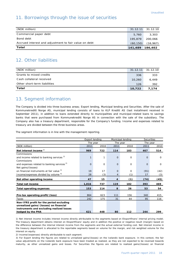# 11. Borrowings through the issue of securities

| (NOK million)                                         |                 | 31.12.11 31.12.10 |
|-------------------------------------------------------|-----------------|-------------------|
| Commercial paper debt                                 | 5.760           | 3,303             |
| Bond debt                                             | 195,879         | 200,066           |
| Accrued interest and adjustment to fair value on debt | (60, 150)       | (16, 967)         |
| Total                                                 | 141,489 186,402 |                   |

# 12. Other liabilities

| (NOK million)                |        | 31.12.11 31.12.10 |
|------------------------------|--------|-------------------|
| Grants to mixed credits      | 336    | 333               |
| Cash collateral received     | 10,260 | 6.449             |
| Other short-term liabilities | 126    | 392               |
| Total                        | 10,722 | 7.174             |

# 13. Segment information

The Company is divided into three business areas; Export lending, Municipal lending and Securities. After the sale of Kommunekreditt Norge AS, municipal lending consists of loans to KLP Kreditt AS (last installment received in September 2011), in addition to loans extended directly to municipalities and municipal-related loans to savings banks that were purchased from Kommunekreditt Norge AS in connection with the sale of the subsidiary. The Company also has a treasury department, responsible for the Company's funding. Income and expenses related to treasury are divided between the three business areas.

The segment information is in line with the management reporting.

|                                                        | Export lending<br>Municipal lending |                      |              | <b>Securities</b> |             |             |
|--------------------------------------------------------|-------------------------------------|----------------------|--------------|-------------------|-------------|-------------|
|                                                        |                                     | The year<br>The year |              |                   |             | The year    |
| (NOK million)                                          | 2011                                | 2010                 | 2011         | 2010              | 2011        | 2010        |
| Net interest income <sup>1)</sup>                      | 969                                 | 722                  | 114          | 183               | 467         | 514         |
| Commissions                                            |                                     |                      |              |                   |             |             |
| and income related to banking services <sup>2)</sup>   | $\mathbf{1}$                        | $\mathbf{1}$         | $\mathbf{O}$ | $\mathbf 0$       | $\mathbf 0$ | $\mathbf 0$ |
| Commissions                                            |                                     |                      |              |                   |             |             |
| and expenses related to banking services <sup>2)</sup> | $\Omega$                            | $\mathbf{O}$         | $\Omega$     | $\mathbf 0$       | $\Omega$    | $\Omega$    |
| Net gains/(losses)                                     |                                     |                      |              |                   |             |             |
| on financial instruments at fair value 3)              | 19                                  | 17                   | $\Omega$     | $\Omega$          | (91)        | (42)        |
| Income/expenses divided by volume <sup>4)</sup>        | 28                                  | (3)                  | 4            | (1)               | 17          | (3)         |
| Net other operating income                             | 47                                  | 15                   | 4            | (1)               | (74)        | (45)        |
| Total net income                                       | 1,016                               | 737                  | 119          | 182               | 393         | 469         |
| <b>Total operating expenses</b>                        | 153                                 | 114                  | 8            | 26                | 53          | 54          |
|                                                        |                                     |                      |              |                   |             |             |
| Pre-tax operating profit/(loss)                        | 864                                 | 623                  | 111          | 156               | 340         | 415         |
| Taxes                                                  | 242                                 | 175                  | 31           | 44                | 95          | 116         |
| Non-IFRS profit for the period excluding               |                                     |                      |              |                   |             |             |
| unrealized gains/(losses) on financial                 |                                     |                      |              |                   |             |             |
| instruments and excluding realized losses              |                                     |                      |              |                   |             |             |
| hedged by the PHA                                      | 621                                 | 448                  | 80           | 112               | 244         | 299         |

1) Net interest income includes interest income directly attributable to the segments based on Eksportfinans' internal pricing model. The treasury department obtains interest on Eksportfinans' equity and in addition the positive or negative result (margin) based on the difference between the internal interest income from the segments and the actual external funding cost. Net interest income in the treasury department is allocated to the reportable segments based on volume for the margin, and risk weighted volume for the interest on equity.

2) Income/(expenses) directly attributable to each segment.

3) For Export lending the figures are related to unrealized gains/(losses) on the Icelandic bank exposure. In this context, the fair value adjustments on the Icelandic bank exposure have been treated as realized, as they are not expected to be reversed towards maturity, as other unrealized gains and losses. For Securities the figures are related to realized gains/(losses) on financial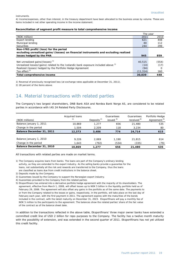instruments.

4) Income/expenses, other than interest, in the treasury department have been allocated to the business areas by volume. These are items included in net other operating income in the income statement.

#### **Reconciliation of segment profit measure to total comprehensive income**

|                                                                                               | The year  |          |
|-----------------------------------------------------------------------------------------------|-----------|----------|
| (NOK million)                                                                                 | 2011      | 2010     |
| Export lending                                                                                | 621       | 448      |
| Municipal lending                                                                             | 80        | 112      |
| <b>Securities</b>                                                                             | 244       | 299      |
| Non-IFRS profit/(loss) for the period                                                         |           |          |
| excluding unrealized gains/(losses) on financial instruments and excluding realized           |           |          |
| losses hedged by the PHA                                                                      | 945       | 859      |
|                                                                                               |           |          |
| Net unrealized gains/(losses) <sup>1)</sup>                                                   | 40,515    | (554)    |
| Unrealized losses/(gains) related to the Icelandic bank exposure included above <sup>1)</sup> | (14)      | (17)     |
| Realized (losses) hedged by the Portfolio Hedge Agreement                                     | (94)      | $\Omega$ |
| Tax effect <sup>2)</sup>                                                                      | (11, 314) | 160      |
| Total comprehensive income                                                                    | 30.039    | 448      |

1) Reversal of previously recognized loss (at exchange rates applicable at December 31, 2011). 2) 28 percent of the items above.

# 14. Material transactions with related parties

The Company's two largest shareholders, DNB Bank ASA and Nordea Bank Norge AS, are considered to be related parties in accordance with IAS 24 Related Party Disclosures.

| (NOK millions)            | Acquired Ioans<br>1) | Deposits $2$ | Guarantees<br>issued $3)$ | Guarantees<br>received <sup>4)</sup> | Portfolio Hedge<br>Agreement <sup>5)</sup> |
|---------------------------|----------------------|--------------|---------------------------|--------------------------------------|--------------------------------------------|
| Balance January 1, 2011   | 10.869               | 1.277        | 656                       | 21,480                               | 535                                        |
| Change in the period      | 1.504                | 2,209        | 118                       | 3,234                                | 80                                         |
| Balance December 31, 2011 | 12,373               | 3,486        | 774                       | 24,714                               | 615                                        |
|                           |                      |              |                           |                                      |                                            |
| Balance January 1, 2010   | 9.226                | 2.069        | 1.190                     | 21,815                               | 614                                        |
| Change in the period      | 1.643                | (792)        | (534)                     | (335)                                | (79)                                       |
| Balance December 31, 2010 | 10,869               | 1.277        | 656                       | 21,480                               | 535                                        |

All transactions with related parties are made on market terms.

- 1) The Company acquires loans from banks. The loans are part of the Company's ordinary lending activity, as they are extended to the export industry. As the selling banks provide a guarantee for the loans, not substantially all the risk and rewards are transferred to the Company, thus the loans are classified as loans due from credit institutions in the balance sheet.
- 2) Deposits made by the Company.
- 3) Guarantees issued by the Company to support the Norwegian export industry.
- 4) Guarantees provided to the Company from the related parties.
- 5) Eksportfinans has entered into a derivative portfolio hedge agreement with the majority of its shareholders. The agreement, effective from March 1, 2008, will offset losses up to NOK 5 billion in the liquidity portfolio held as of February 29, 2008. The agreement will also offset any gains in the portfolio as of the same date. The payments to or from the Company related to the losses or gains, respectively, in the portfolio, will take place on the last day of February each year, with the first payment in 2011. The agreement expires with the maturities of the bonds included in the contract, with the latest maturity on December 31, 2023. Eksportfinans will pay a monthly fee of NOK 5 million to the participants to the agreement. The balances show the related parties' share of the fair value of the contract as of the balance sheet date.

In addition to the transactions reflected in the above table, Eksportfinans' three major owner banks have extended a committed credit line of USD 2 billion for repo purposes to the Company. The facility has a twelve month maturity with the possibility of extension, and was extended in the second quarter of 2011. Eksportfinans has not yet utilized this credit facility.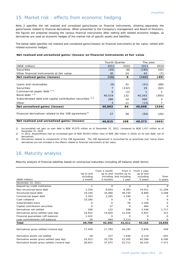# 15. Market risk - effects from economic hedging

Note 2 specifies the net realized and unrealized gains/losses on financial instruments, showing separately the gains/losses related to financial derivatives. When presented to the Company's management and Board of Directors, the figures are prepared showing the various financial instruments after netting with related economic hedges, as derivatives are used as economic hedges of the market risk of specific assets and liabilities.

The below table specifies net realized and unrealized gains/(losses) on financial instruments at fair value, netted with related economic hedges.

### **Net realized and unrealized gains/(losses) on financial instruments at fair value**

|                                                                  | <b>Fourth Quarter</b> |       | The year |       |
|------------------------------------------------------------------|-----------------------|-------|----------|-------|
| (NOK million)                                                    | 2011                  | 2010  | 2011     | 2010  |
| <b>Securities</b>                                                | (45)                  | (8)   | (185)    | (42)  |
| Other financial instruments at fair value                        | 30                    | 14    | 43       | (7)   |
| Net realized gains/(losses)                                      | (15)                  | 6     | (142)    | (49)  |
|                                                                  |                       |       |          |       |
| Loans and receivables                                            | (6)                   | 41    | (51)     | (89)  |
| Securities                                                       |                       | (132) | 19       | (62)  |
| Commercial paper debt <sup>1) 2)</sup>                           | $\Omega$              | (2)   |          |       |
| Bond debt $(1)$ 2)                                               | 40,519                | 132   | 40,343   | (393) |
| Subordinated debt and capital contribution securities 1) 2)      | 280                   | 14    | 309      | 2     |
| Other                                                            | 3                     | 11    | (13)     |       |
| Net unrealized gains/(losses)                                    | 40,803                | 64    | 40,608   | (534) |
|                                                                  |                       |       |          |       |
| Financial derivatives related to the 108 agreement <sup>3)</sup> | 27                    | 38    | (93)     | (20)  |
| Net realized and unrealized gains/(losses)                       | 40,815                | 108   | 40,373   | (603) |

1) Accumulated net gain on own debt is NOK 42,070 million as of December 31, 2011, compared to NOK 1,417 million as of December 31, 2010

2) In 2011, Eksportfinans had an unrealized gain of NOK 40,653 million (loss of NOK 390 million in 2010) on its own debt, net of derivatives.

3) Derivatives related to components of the 108 Agreement. The 108 Agreement is accounted for at amortized cost, hence these derivatives are not included in the effects related to financial instruments at fair value.

# 16. Maturity analysis

Maturity analysis of financial liabilities based on contractual maturities (including off-balance sheet items):

|                                               |           | From 1 month | From 3                  | From 1 year |          |
|-----------------------------------------------|-----------|--------------|-------------------------|-------------|----------|
|                                               | Up to and |              | up to and months up to  | up to and   |          |
|                                               | including |              | including and including | including   | Over     |
| (NOK million)                                 | 1 month   | 3 months     | 1 year                  | 5 years     | 5 years  |
| December 31, 2011                             |           |              |                         |             |          |
| Deposit by credit institutions                |           | $\Omega$     | $\Omega$                | $\Omega$    | $\Omega$ |
| Non-structured bond debt                      | 1,254     | 9,654        | 6,383                   | 74,011      | 11,209   |
| Structured bond debt                          | 19,240    | 34,460       | 38,730                  | 8,894       | 3,598    |
| Commercial paper debt                         | 2,303     | 2,265        | 1,199                   | $\Omega$    | $\Omega$ |
| Cash collateral                               | 10,260    | 0            | O                       | $\mathbf 0$ | $\circ$  |
| Subordinated loans                            | O         | $\Omega$     | 56                      | 1,328       | 0        |
| Capital contribution securities               | O         | 27           | O                       | 464         | 0        |
| Derivatives net settled                       | 269       | 122          | 596                     | 2,546       | 1,717    |
| Derivatives gross settled (pay leg)           | 14,922    | 14,920       | 12,434                  | 5,921       | 312      |
| Financial guarantees (off-balance)            | 1,422     | $\Omega$     | 0                       | $\Omega$    | $\Omega$ |
| Loan commitments (off-balance)                | 29        | 944          | 2,113                   | $\Omega$    | $\Omega$ |
| Total                                         | 49,700    | 62,392       | 61,511                  | 93,164      | 16,836   |
|                                               |           |              |                         |             |          |
| Derivatives gross settled (receive leg)       | 17,429    | 17,783       | 16,192                  | 5,876       | 449      |
| Derivative assets net settled                 | 28        | 227          | 1,936                   | 4,119       | 603      |
| Derivative assets gross settled (pay leg)     | 24,913    | 33,730       | 22,205                  | 45,588      | 6,506    |
| Derivative assets gross settled (receive leg) | 26,823    | 37,075       | 25,711                  | 50,150      | 7,471    |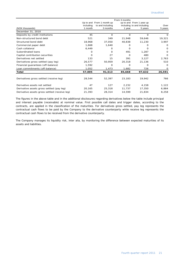|                                               |           | From 3 months             |          |                            |          |
|-----------------------------------------------|-----------|---------------------------|----------|----------------------------|----------|
|                                               |           | Up to and From 1 month up |          | up to and From 1 year up   |          |
|                                               | including | to and including          |          | including to and including | Over     |
| (NOK thousands)                               | 1 month   | 3 months                  | 1 year   | 5 years                    | 5 years  |
| December 31, 2010                             |           |                           |          |                            |          |
| Deposits by credit institutions               | 45        | 0                         | 0        | 0                          | $\Omega$ |
| Non-structured bond debt                      | 521       | 349                       | 21,948   | 59,646                     | 19,321   |
| Structured bond debt                          | 18,968    | 37,050                    | 40,838   | 11,230                     | 3,997    |
| Commercial paper debt                         | 1,668     | 1,640                     | 0        | Ω                          | $\Omega$ |
| Cash collateral                               | 6,449     | O                         | $\Omega$ | O                          | $\Omega$ |
| Subordinated loans                            | 0         | $\Omega$                  | 491      | 1,287                      | $\Omega$ |
| Capital contribution securities               | 0         | 27                        | $\Omega$ | 480                        | $\Omega$ |
| Derivatives net settled                       | 133       | 15                        | 391      | 3,127                      | 2,763    |
| Derivatives gross settled (pay leg)           | 26,577    | 50,959                    | 20,318   | 21,136                     | 510      |
| Financial guarantees (off-balance)            | 1,592     | $\Omega$                  | $\Omega$ | 0                          | $\Omega$ |
| Loan commitments (off-balance)                | 1,052     | 1,473                     | 1,682    | 726                        | $\Omega$ |
| Total                                         | 57,005    | 91,513                    | 85,668   | 97,632                     | 26,591   |
|                                               |           |                           |          |                            |          |
| Derivatives gross settled (receive leg)       | 28,544    | 52,397                    | 23,183   | 19,942                     | 766      |
| Derivative assets net settled                 | 47        | 127                       | 2,232    | 4,158                      | 1,122    |
| Derivative assets gross settled (pay leg)     | 20,165    | 25,318                    | 11,737   | 17,350                     | 6,884    |
| Derivative assets gross settled (receive leg) | 21,393    | 28,314                    | 14,599   | 21,834                     | 8,258    |

The figures in the above table and in the additional disclosures regarding derivatives below the table include principal and interest payable (receivable) at nominal value. First possible call dates and trigger dates, according to the contracts, are applied in the classification of the maturities. For derivatives gross settled, pay leg represents the contractual cash flows to be paid by the Company to the derivative counterparty while receive leg represents the contractual cash flows to be received from the derivative counterparty.

The Company manages its liquidity risk, inter alia, by monitoring the difference between expected maturities of its assets and liabilities.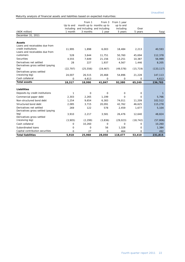Maturity analysis of financial assets and liabilities based on expected maturities:

|                                                              |           | From 1    | From 3                      | From 1 year |             |            |
|--------------------------------------------------------------|-----------|-----------|-----------------------------|-------------|-------------|------------|
|                                                              | Up to and |           | month up to months up to    | up to and   |             |            |
|                                                              | including |           | and including and including | including   | Over        |            |
| (NOK million)                                                | 1 month   | 3 months  | 1 year                      | 5 years     | 5 years     | Total      |
| December 31, 2011                                            |           |           |                             |             |             |            |
|                                                              |           |           |                             |             |             |            |
| <b>Assets</b>                                                |           |           |                             |             |             |            |
| Loans and receivables due from                               |           |           |                             |             |             |            |
| credit institutions                                          | 11,995    | 1,898     | 6,003                       | 18,484      | 2,213       | 40,593     |
| Loans and receivables due from<br>customers                  |           |           |                             |             |             |            |
|                                                              | 528       | 3,644     | 11,751                      | 50,760      | 45,694      | 112,378    |
| <b>Securities</b>                                            | 4,555     | 7,649     | 21,156                      | 13,251      | 10,387      | 56,999     |
| Derivatives net settled<br>Derivatives gross settled (paying | 28        | 227       | 1,937                       | 4,567       | 1,446       | 8,205      |
| leg)                                                         | (22, 797) | (25, 556) | (19, 467)                   | (49, 578)   | (15, 719)   | (133, 117) |
| Derivatives gross settled                                    |           |           |                             |             |             |            |
| (receiving leg)                                              | 24,007    | 26,515    | 20,468                      | 54,896      | 21,228      | 147,113    |
| Cash collateral                                              | 0         | 4,613     | 0                           | 0           | 0           | 4,613      |
| <b>Total assets</b>                                          | 18,317    | 18,990    | 41,847                      | 92,380      | 65,249      | 236,783    |
|                                                              |           |           |                             |             |             |            |
| <b>Liabilities</b>                                           |           |           |                             |             |             |            |
| Deposits by credit institutions                              | 1         | $\Omega$  | $\Omega$                    | $\Omega$    | $\mathbf 0$ | 1          |
| Commercial paper debt                                        | 2,303     | 2,265     | 1,199                       | 0           | 0           | 5,766      |
| Non-structured bond debt                                     | 1,254     | 9,654     | 6,383                       | 74,011      | 11,209      | 102,512    |
| Structured bond debt                                         | 2,085     | 3,715     | 20,091                      | 42,762      | 46,625      | 115,278    |
| Derivatives net settled                                      | 269       | 122       | 578                         | 2,459       | 1,677       | 5,104      |
| Derivatives gross settled (paying                            |           |           |                             |             |             |            |
| leq)                                                         | 3,910     | 2,217     | 3,581                       | 26,476      | 12,640      | 48,824     |
| Derivatives gross settled                                    |           |           |                             |             |             |            |
| (receiving leg)                                              | (3,905)   | (2, 299)  | (3,836)                     | (29, 023)   | (18, 742)   | (57, 806)  |
| Cash collateral                                              | 0         | 10,260    | 0                           | $\Omega$    | 0           | 10,260     |
| Subordinated Ioans                                           | 0         | 0         | 56                          | 1,328       | 0           | 1,384      |
| Capital contribution securities                              | $\Omega$  | 27        | $\Omega$                    | 464         | 0           | 492        |
| <b>Total liabilities</b>                                     | 5,918     | 25,960    | 28,050                      | 118,477     | 53,410      | 231,815    |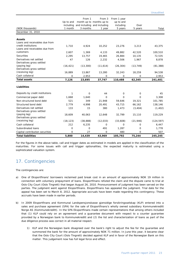|                                             |                | From 1    | From 3                      | From 1 year  |             |            |
|---------------------------------------------|----------------|-----------|-----------------------------|--------------|-------------|------------|
|                                             | Up to and      |           | month up to months up to    | up to and    |             |            |
|                                             | including      |           | and including and including | including    | Over        |            |
| (NOK thousands)                             | 1 month        | 3 months  | 1 year                      | 5 years      | 5 years     | Total      |
| December 31, 2010                           |                |           |                             |              |             |            |
|                                             |                |           |                             |              |             |            |
| <b>Assets</b>                               |                |           |                             |              |             |            |
| Loans and receivables due from              |                |           |                             |              |             |            |
| credit institutions                         | 1,710          | 4,924     | 10,252                      | 23,276       | 3,213       | 43,375     |
| Loans and receivables due from<br>customers |                |           |                             |              |             |            |
| Securities                                  | 2,607          | 1,369     | 4,133                       | 49,882       | 42,520      | 100,510    |
|                                             | 2,295          | 13,757    | 19,465                      | 26,884       | 10,135      | 72,535     |
| Derivatives net settled                     | 47             | 126       | 2,232                       | 4,506        | 1,967       | 8,878      |
| Derivatives gross settled<br>(paying leg)   |                |           |                             |              |             |            |
| Derivatives gross settled                   | (16, 421)      | (13, 300) | (11, 614)                   | (26, 304)    | (13, 749)   | (81, 388)  |
| (receiving leg)                             | 16,889         | 13,867    | 13,280                      | 32,243       | 18,259      | 94,538     |
| Cash collateral                             | $\overline{O}$ | 2,953     | $\mathbf 0$                 | $\Omega$     | $\mathbf 0$ | 2,953      |
| <b>Total assets</b>                         | 7,126          | 23,695    | 37,747                      | 110,488      | 62,345      | 241,401    |
|                                             |                |           |                             |              |             |            |
| Liabilities                                 |                |           |                             |              |             |            |
| Deposits by credit institutions             | $\mathbf{1}$   | 0         | 44                          | 0            | $\mathbf 0$ | 45         |
| Commercial paper debt                       | 1,668          | 1,640     | $\mathbf 0$                 | $\Omega$     | 0           | 3,308      |
| Non-structured bond debt                    | 521            | 349       | 21,948                      | 59,646       | 19,321      | 101,785    |
| Structured bond debt                        | 2,779          | 4,998     | 20,491                      | 43,715       | 66,162      | 138,146    |
| Derivatives net settled                     | 133            | 15        | 380                         | 1,473        | (3, 404)    | (1, 402)   |
| Derivatives gross settled                   |                |           |                             |              |             |            |
| (paying leg)                                | 18,609         | 40,063    | 12,648                      | 32,799       | 15,110      | 119,229    |
| Derivatives gross settled                   |                |           |                             |              |             |            |
| (receiving leg)                             | (18, 123)      | (38, 888) | (12, 033)                   | (33,608)     | (21, 946)   | (124, 597) |
| Cash collateral                             | 212            | 6,235     | $\mathbf 0$                 | $\mathbf{O}$ | 0           | 6,447      |
| Subordinated Ioans                          | 0              | 0         | 491                         | 1,287        | 0           | 1,778      |
| Capital contribution securities             | $\overline{0}$ | 27        | $\Omega$                    | 480          | $\Omega$    | 507        |
| <b>Total liabilities</b>                    | 5,800          | 14,439    | 43,969                      | 105,792      | 75,244      | 245,245    |

For the figures in the above table, call and trigger dates as estimated in models are applied in the classification of the maturities. For some issues with call and trigger optionalities, the expected maturity is estimated using a sophisticated valuation system.

# 17. Contingencies

The contingencies are:

- a) One of Eksportfinans' borrowers reclaimed paid break cost in an amount of approximately NOK 19 million in connection with voluntary prepayment of loans. Eksportfinans refuted the claim and the dispute came to trial at Oslo City Court (Oslo Tingrett) that began August 26, 2010. Pronouncement of judgment has been served on the parties. The judgment went against Eksportfinans. Eksportfinans has appealed the judgment. Trial date for the appeal has been set to March 8, 2012. Appropriate accruals have been made regarding this contingency. These accruals have been made in earlier periods.
- b) In 2009 Eksportfinans and Kommunal Landspensjonskasse gjensidige forsikringsselskap (KLP) entered into a sales and purchase agreement (SPA) for the sale of Eksportfinans's wholly owned subsidiary Kommunekreditt Norge AS (Kommunekreditt). In the SPA Eksportfinans made certain representations that among others included that (1) KLP could rely on an agreement and a guarantee document with respect to a counter guarantee provided by a Norwegian bank to Kommunekreditt and (2) the list and characterization of loans as part of the due diligence process was correct in all material respect.
	- 1) KLP and the Norwegian bank disagreed over the bank's right to adjust the fee for the guarantee and summoned the bank for the amount of approximately NOK 71 million. In June this year, it became clear that the Oslo City Court (Oslo Tingrett) decided against KLP and in favor of the Norwegian Bank on this matter. This judgement now has full legal force and effect.

Unaudited